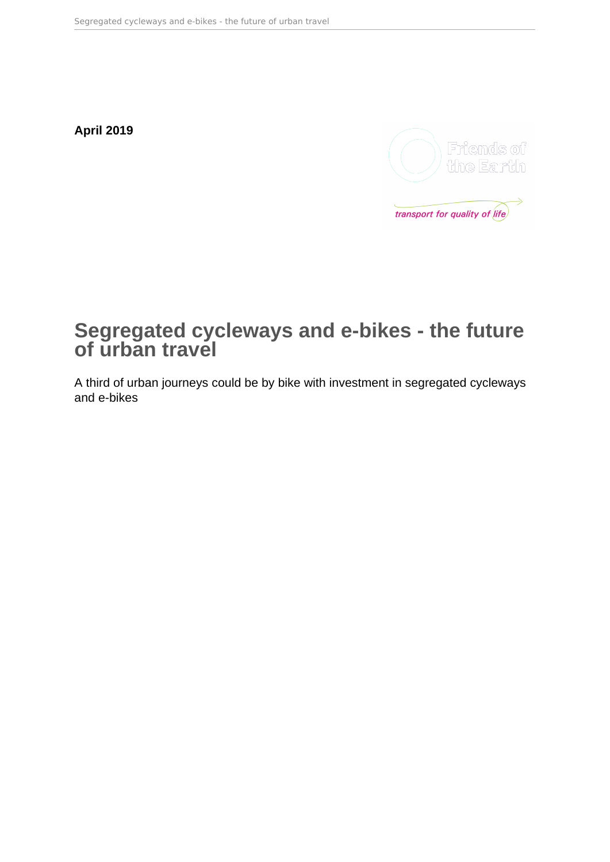**April 2019**



# **Segregated cycleways and e-bikes - the future of urban travel**

A third of urban journeys could be by bike with investment in segregated cycleways and e-bikes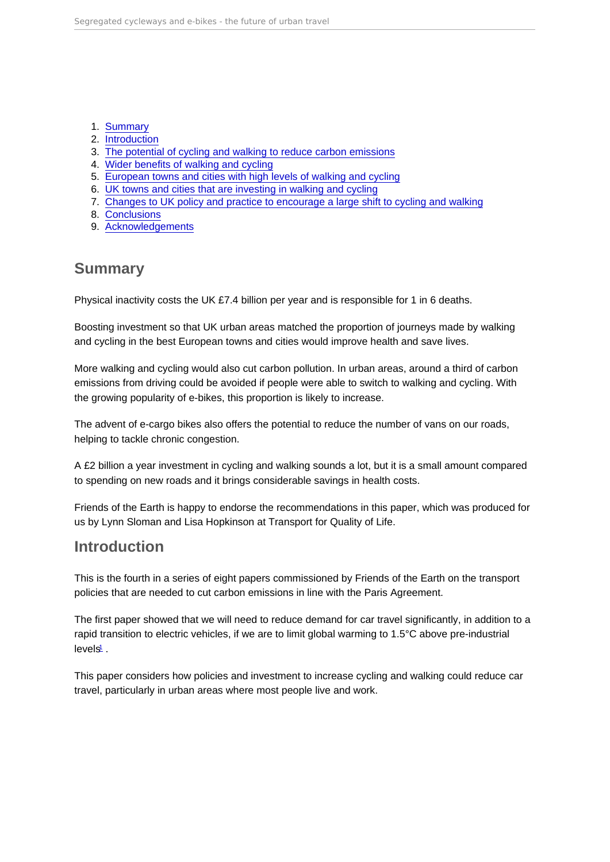- <span id="page-1-0"></span>1. Summary
- 2. Introduction
- 3. [The potential of cycling and walking to reduce carbon emissions](#page-2-0)
- 4. [Wider benefits of walking and cycling](#page-5-0)
- 5. [European towns and cities with high levels of walking and cycling](#page-6-0)
- 6. [UK towns and cities that are investing in walking and cycling](#page-9-0)
- 7. [Changes to UK policy and practice to encourage a large shift to cycling and walking](#page-10-0)
- 8. [Conclusions](#page-12-0)
- 9. [Acknowledgements](#page-13-0)

## Summary

Physical inactivity costs the UK £7.4 billion per year and is responsible for 1 in 6 deaths.

Boosting investment so that UK urban areas matched the proportion of journeys made by walking and cycling in the best European towns and cities would improve health and save lives.

More walking and cycling would also cut carbon pollution. In urban areas, around a third of carbon emissions from driving could be avoided if people were able to switch to walking and cycling. With the growing popularity of e-bikes, this proportion is likely to increase.

The advent of e-cargo bikes also offers the potential to reduce the number of vans on our roads, helping to tackle chronic congestion.

A £2 billion a year investment in cycling and walking sounds a lot, but it is a small amount compared to spending on new roads and it brings considerable savings in health costs.

Friends of the Earth is happy to endorse the recommendations in this paper, which was produced for us by Lynn Sloman and Lisa Hopkinson at Transport for Quality of Life.

#### **Introduction**

This is the fourth in a series of eight papers commissioned by Friends of the Earth on the transport policies that are needed to cut carbon emissions in line with the Paris Agreement.

The first paper showed that we will need to reduce demand for car travel significantly, in addition to a rapid transition to electric vehicles, if we are to limit global warming to 1.5°C above pre-industrial levels<sup>[1](#page-14-0)</sup>.

This paper considers how policies and investment to increase cycling and walking could reduce car travel, particularly in urban areas where most people live and work.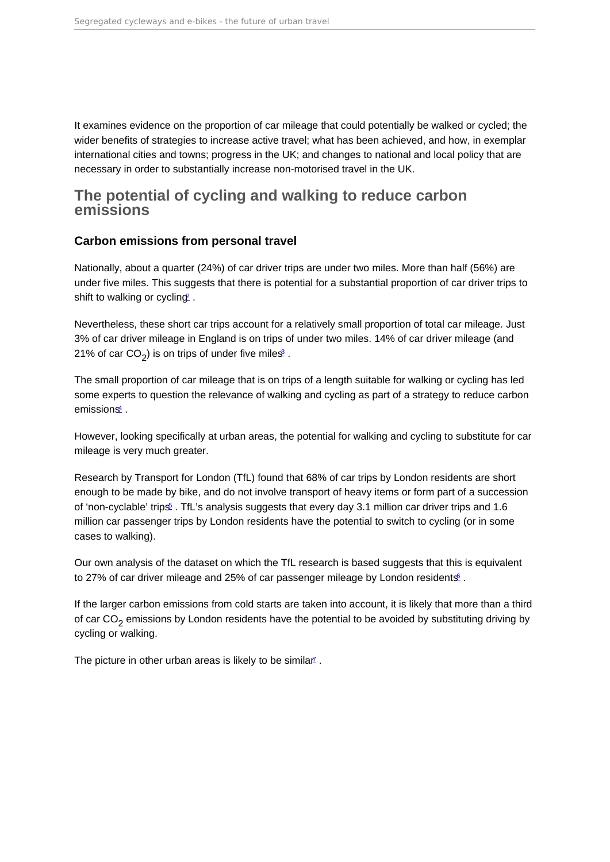<span id="page-2-0"></span>It examines evidence on the proportion of car mileage that could potentially be walked or cycled; the wider benefits of strategies to increase active travel; what has been achieved, and how, in exemplar international cities and towns; progress in the UK; and changes to national and local policy that are necessary in order to substantially increase non-motorised travel in the UK.

#### The potential of cycling and walking to reduce carbon emissions

#### Carbon emissions from personal travel

Nationally, about a quarter (24%) of car driver trips are under two miles. More than half (56%) are under five miles. This suggests that there is potential for a substantial proportion of car driver trips to shift to walking or cycling .

Nevertheless, these short car trips account for a relatively small proportion of total car mileage. Just 3% of car driver mileage in England is on trips of under two miles. 14% of car driver mileage (and 21% of car CO<sub>2</sub>) is on trips of under five miles $^{\circ}$  .

The small proportion of car mileage that is on trips of a length suitable for walking or cycling has led some experts to question the relevance of walking and cycling as part of a strategy to reduce carbon emissions<sup>[4](#page-14-0)</sup>

However, looking specifically at urban areas, the potential for walking and cycling to substitute for car mileage is very much greater.

Research by Transport for London (TfL) found that 68% of car trips by London residents are short enough to be made by bike, and do not involve transport of heavy items or form part of a succession of 'non-cyclable' trips . TfL's analysis suggests that every day 3.1 million car driver trips and 1.6 million car passenger trips by London residents have the potential to switch to cycling (or in some cases to walking).

Our own analysis of the dataset on which the TfL research is based suggests that this is equivalent to 27% of car driver mileage and 25% of car passenger mileage by London residents  $\epsilon$ .

If the larger carbon emissions from cold starts are taken into account, it is likely that more than a third of car CO<sub>2</sub> emissions by London residents have the potential to be avoided by substituting driving by cycling or walking.

The picture in other urban areas is likely to be similar.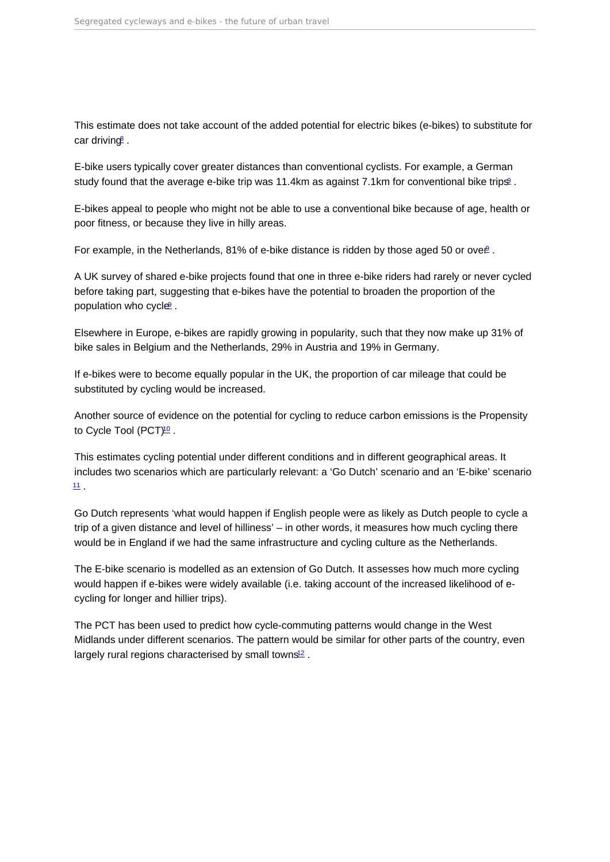<span id="page-3-0"></span>This estimate does not take account of the added potential for electric bikes (e-bikes) to substitute for  $car$  driving  $\frac{1}{2}$ 

E-bike users typically cover greater distances than conventional cyclists. For example, a German study found that the average e-bike trip was 11.4km as against 7.1km for conventional bike trips<sup>[9](#page-14-0)</sup>.

E-bikes appeal to people who might not be able to use a conventional bike because of age, health or poor fitness, or because they live in hilly areas.

For example, in the Netherlands, 81% of e-bike distance is ridden by those aged 50 or ove $\mathbb{P}$ .

A UK survey of shared e-bike projects found that one in three e-bike riders had rarely or never cycled before taking part, suggesting that e-bikes have the potential to broaden the proportion of the population who cycle<sup>[9](#page-14-0)</sup>.

Elsewhere in Europe, e-bikes are rapidly growing in popularity, such that they now make up 31% of bike sales in Belgium and the Netherlands, 29% in Austria and 19% in Germany.

If e-bikes were to become equally popular in the UK, the proportion of car mileage that could be substituted by cycling would be increased.

Another source of evidence on the potential for cycling to reduce carbon emissions is the Propensity to Cycle Tool (PCT)<sup>[10](#page-14-0)</sup>.

This estimates cycling potential under different conditions and in different geographical areas. It includes two scenarios which are particularly relevant: a 'Go Dutch' scenario and an 'E-bike' scenario  $11$ 

Go Dutch represents 'what would happen if English people were as likely as Dutch people to cycle a trip of a given distance and level of hilliness' – in other words, it measures how much cycling there would be in England if we had the same infrastructure and cycling culture as the Netherlands.

The E-bike scenario is modelled as an extension of Go Dutch. It assesses how much more cycling would happen if e-bikes were widely available (i.e. taking account of the increased likelihood of ecycling for longer and hillier trips).

The PCT has been used to predict how cycle-commuting patterns would change in the West Midlands under different scenarios. The pattern would be similar for other parts of the country, even largely rural regions characterised by small towns<sup>[12](#page-14-0)</sup>.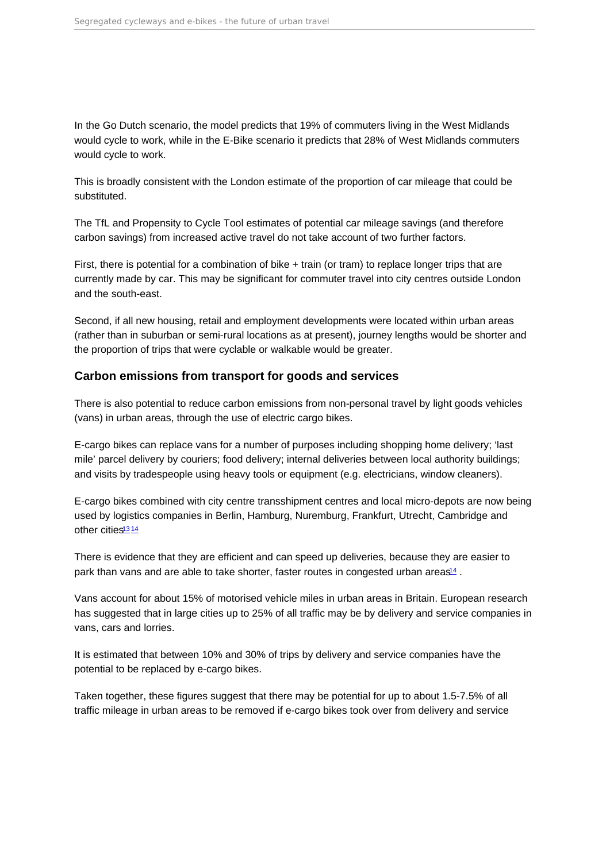<span id="page-4-0"></span>In the Go Dutch scenario, the model predicts that 19% of commuters living in the West Midlands would cycle to work, while in the E-Bike scenario it predicts that 28% of West Midlands commuters would cycle to work.

This is broadly consistent with the London estimate of the proportion of car mileage that could be substituted.

The TfL and Propensity to Cycle Tool estimates of potential car mileage savings (and therefore carbon savings) from increased active travel do not take account of two further factors.

First, there is potential for a combination of bike + train (or tram) to replace longer trips that are currently made by car. This may be significant for commuter travel into city centres outside London and the south-east.

Second, if all new housing, retail and employment developments were located within urban areas (rather than in suburban or semi-rural locations as at present), journey lengths would be shorter and the proportion of trips that were cyclable or walkable would be greater.

#### Carbon emissions from transport for goods and services

There is also potential to reduce carbon emissions from non-personal travel by light goods vehicles (vans) in urban areas, through the use of electric cargo bikes.

E-cargo bikes can replace vans for a number of purposes including shopping home delivery; 'last mile' parcel delivery by couriers; food delivery; internal deliveries between local authority buildings; and visits by tradespeople using heavy tools or equipment (e.g. electricians, window cleaners).

E-cargo bikes combined with city centre transshipment centres and local micro-depots are now being used by logistics companies in Berlin, Hamburg, Nuremburg, Frankfurt, Utrecht, Cambridge and other cities[13](#page-15-0) [14](#page-15-0)

There is evidence that they are efficient and can speed up deliveries, because they are easier to park than vans and are able to take shorter, faster routes in congested urban areas  $4 \cdot 4$ .

Vans account for about 15% of motorised vehicle miles in urban areas in Britain. European research has suggested that in large cities up to 25% of all traffic may be by delivery and service companies in vans, cars and lorries.

It is estimated that between 10% and 30% of trips by delivery and service companies have the potential to be replaced by e-cargo bikes.

Taken together, these figures suggest that there may be potential for up to about 1.5-7.5% of all traffic mileage in urban areas to be removed if e-cargo bikes took over from delivery and service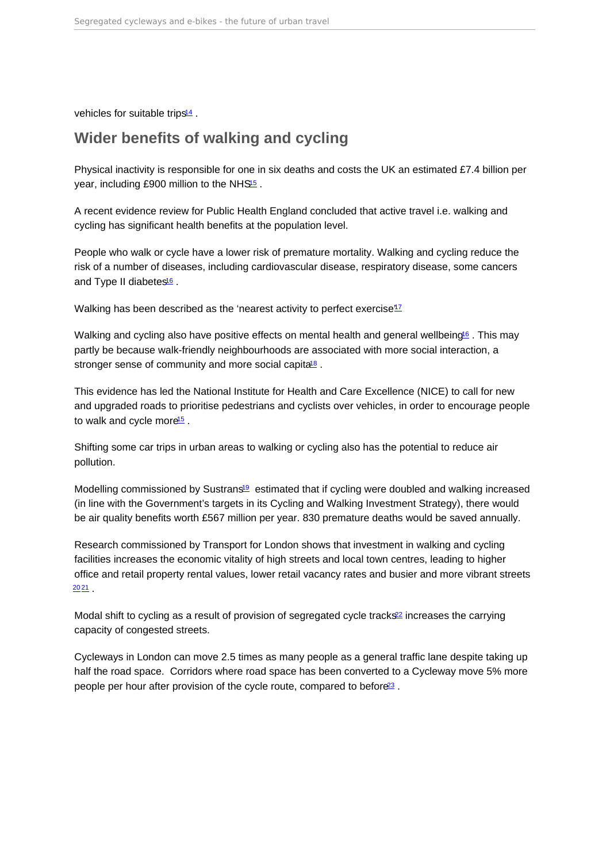<span id="page-5-0"></span>vehicles for suitable trips<sup>[14](#page-15-0)</sup>.

### Wider benefits of walking and cycling

Physical inactivity is responsible for one in six deaths and costs the UK an estimated £7.4 billion per year, including £900 million to the NHS<sup>[15](#page-15-0)</sup>.

A recent evidence review for Public Health England concluded that active travel i.e. walking and cycling has significant health benefits at the population level.

People who walk or cycle have a lower risk of premature mortality. Walking and cycling reduce the risk of a number of diseases, including cardiovascular disease, respiratory disease, some cancers and Type II diabetes<sup>[16](#page-15-0)</sup>.

Walking has been described as the 'nearest activity to perfect exercise<sup>[17](#page-15-0)</sup>

Walking and cycling also have positive effects on mental health and general wellbeing<sup>6</sup>. This may partly be because walk-friendly neighbourhoods are associated with more social interaction, a stronger sense of community and more social capita<sup>[18](#page-15-0)</sup>.

This evidence has led the National Institute for Health and Care Excellence (NICE) to call for new and upgraded roads to prioritise pedestrians and cyclists over vehicles, in order to encourage people to walk and cycle more<sup>[15](#page-15-0)</sup>.

Shifting some car trips in urban areas to walking or cycling also has the potential to reduce air pollution.

Modelling commissioned by Sustrans<sup>[19](#page-15-0)</sup> estimated that if cycling were doubled and walking increased (in line with the Government's targets in its Cycling and Walking Investment Strategy), there would be air quality benefits worth £567 million per year. 830 premature deaths would be saved annually.

Research commissioned by Transport for London shows that investment in walking and cycling facilities increases the economic vitality of high streets and local town centres, leading to higher office and retail property rental values, lower retail vacancy rates and busier and more vibrant streets  $\frac{20}{21}$  $\frac{20}{21}$  $\frac{20}{21}$  $\frac{20}{21}$  $\frac{20}{21}$ .

Modal shift to cycling as a result of provision of segregated cycle tracks<sup>[22](#page-15-0)</sup> increases the carrying capacity of congested streets.

Cycleways in London can move 2.5 times as many people as a general traffic lane despite taking up half the road space. Corridors where road space has been converted to a Cycleway move 5% more people per hour after provision of the cycle route, compared to before<sup>[23](#page-15-0)</sup>.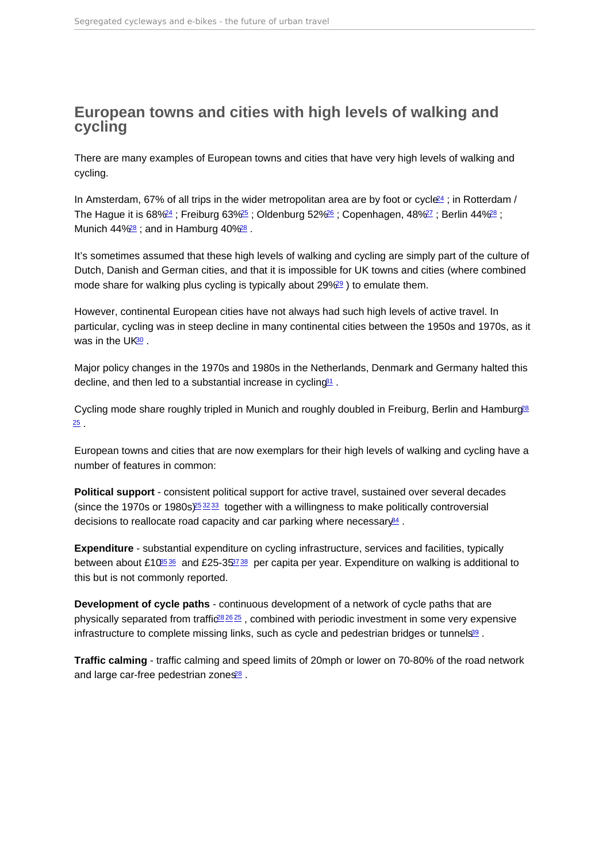### <span id="page-6-0"></span>European towns and cities with high levels of walking and cycling

There are many examples of European towns and cities that have very high levels of walking and cycling.

In Amsterdam, 67% of all trips in the wider metropolitan area are by foot or cycle<sup>[24](#page-15-0)</sup>; in Rotterdam / The Hague it is 68%<sup>[24](#page-15-0)</sup>; Freiburg 63%<sup>[25](#page-15-0)</sup>; Oldenburg 52%<sup>[26](#page-15-0)</sup>; Copenhagen, 48%<sup>[27](#page-15-0)</sup>; Berlin 44%<sup>[28](#page-15-0)</sup>; Munich 44%<sup>[28](#page-15-0)</sup>; and in Hamburg 40%<sup>28</sup>.

It's sometimes assumed that these high levels of walking and cycling are simply part of the culture of Dutch, Danish and German cities, and that it is impossible for UK towns and cities (where combined mode share for walking plus cycling is typically about [29](#page-15-0)%<sup>29</sup> ) to emulate them.

However, continental European cities have not always had such high levels of active travel. In particular, cycling was in steep decline in many continental cities between the 1950s and 1970s, as it was in the UK[30](#page-15-0).

Major policy changes in the 1970s and 1980s in the Netherlands, Denmark and Germany halted this decline, and then led to a substantial increase in cycling<sup>[31](#page-15-0)</sup>.

Cycling mode share roughly tripled in Munich and roughly doubled in Freiburg, Berlin and Hamburg<sup>8</sup>  $\overline{25}$  $\overline{25}$  $\overline{25}$ 

European towns and cities that are now exemplars for their high levels of walking and cycling have a number of features in common:

Political support - consistent political support for active travel, sustained over several decades (since the 1970s or 1980s) $25 \cdot 32 \cdot 33$  $25 \cdot 32 \cdot 33$  $25 \cdot 32 \cdot 33$  $25 \cdot 32 \cdot 33$  $25 \cdot 32 \cdot 33$  together with a willingness to make politically controversial decisions to reallocate road capacity and car parking where necessary $\frac{84}{3}$ .

Expenditure - substantial expenditure on cycling infrastructure, services and facilities, typically between about £10 $\frac{36}{5}$  $\frac{36}{5}$  $\frac{36}{5}$  and £25-[35](#page-16-0) $\frac{38}{5}$  $\frac{38}{5}$  $\frac{38}{5}$  per capita per year. Expenditure on walking is additional to this but is not commonly reported.

Development of cycle paths - continuous development of a network of cycle paths that are physically separated from traffic<sup>[28](#page-15-0)</sup> [26](#page-15-0) [25](#page-15-0), combined with periodic investment in some very expensive infrastructure to complete missing links, such as cycle and pedestrian bridges or tunnels<sup>[39](#page-16-0)</sup>.

Traffic calming - traffic calming and speed limits of 20mph or lower on 70-80% of the road network and large car-free pedestrian zones<sup>[28](#page-15-0)</sup>.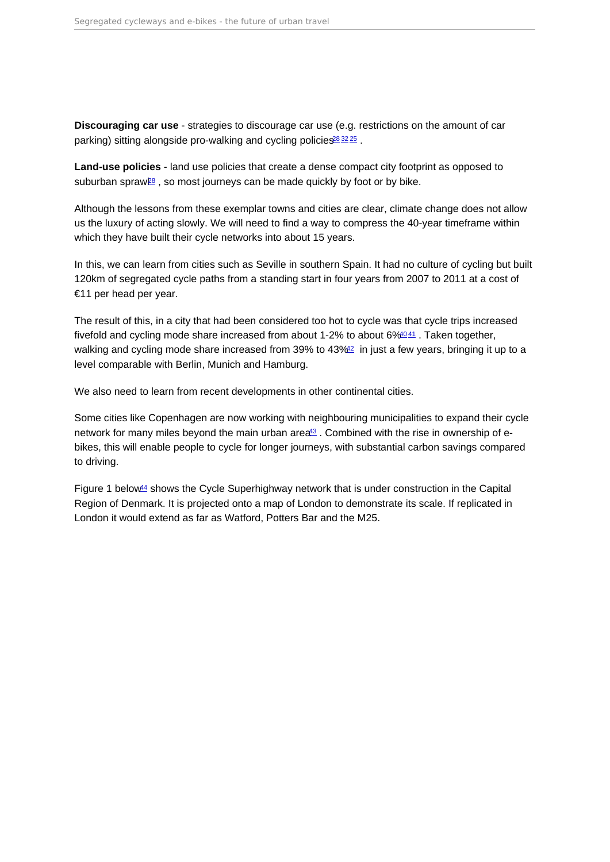<span id="page-7-0"></span>Discouraging car use - strategies to discourage car use (e.g. restrictions on the amount of car parking) sitting alongside pro-walking and cycling policies<sup>[28](#page-15-0)</sup> [32](#page-15-0) [25](#page-15-0).

Land-use policies - land use policies that create a dense compact city footprint as opposed to suburban spraw<sup>e®</sup>, so most journeys can be made quickly by foot or by bike.

Although the lessons from these exemplar towns and cities are clear, climate change does not allow us the luxury of acting slowly. We will need to find a way to compress the 40-year timeframe within which they have built their cycle networks into about 15 years.

In this, we can learn from cities such as Seville in southern Spain. It had no culture of cycling but built 120km of segregated cycle paths from a standing start in four years from 2007 to 2011 at a cost of €11 per head per year.

The result of this, in a city that had been considered too hot to cycle was that cycle trips increased fivefold and cycling mode share increased from about  $1-2\%$  to about  $6\frac{4041}{4}$  $6\frac{4041}{4}$  $6\frac{4041}{4}$  $6\frac{4041}{4}$ . Taken together, walking and cycling mode share increased from 39% to 43%[42](#page-16-0) in just a few years, bringing it up to a level comparable with Berlin, Munich and Hamburg.

We also need to learn from recent developments in other continental cities.

Some cities like Copenhagen are now working with neighbouring municipalities to expand their cycle network for many miles beyond the main urban are  $43$ . Combined with the rise in ownership of ebikes, this will enable people to cycle for longer journeys, with substantial carbon savings compared to driving.

Figure 1 below<sup>[44](#page-16-0)</sup> shows the Cycle Superhighway network that is under construction in the Capital Region of Denmark. It is projected onto a map of London to demonstrate its scale. If replicated in London it would extend as far as Watford, Potters Bar and the M25.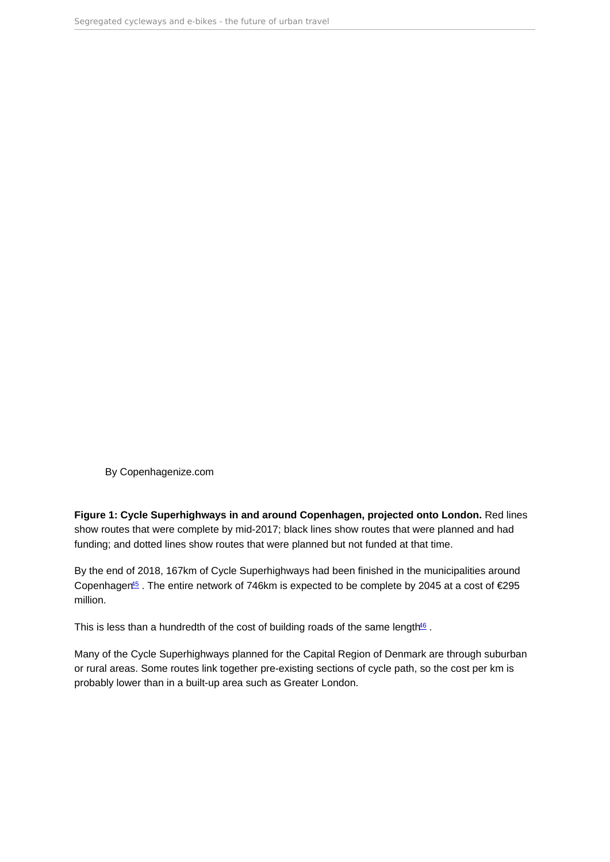<span id="page-8-0"></span>By Copenhagenize.com

Figure 1: Cycle Superhighways in and around Copenhagen, projected onto London. Red lines show routes that were complete by mid-2017; black lines show routes that were planned and had funding; and dotted lines show routes that were planned but not funded at that time.

By the end of 2018, 167km of Cycle Superhighways had been finished in the municipalities around Copenhagen<sup>[45](#page-16-0)</sup>. The entire network of 746km is expected to be complete by 2045 at a cost of  $\epsilon$ 295 million.

This is less than a hundredth of the cost of building roads of the same length<sup>66</sup>.

Many of the Cycle Superhighways planned for the Capital Region of Denmark are through suburban or rural areas. Some routes link together pre-existing sections of cycle path, so the cost per km is probably lower than in a built-up area such as Greater London.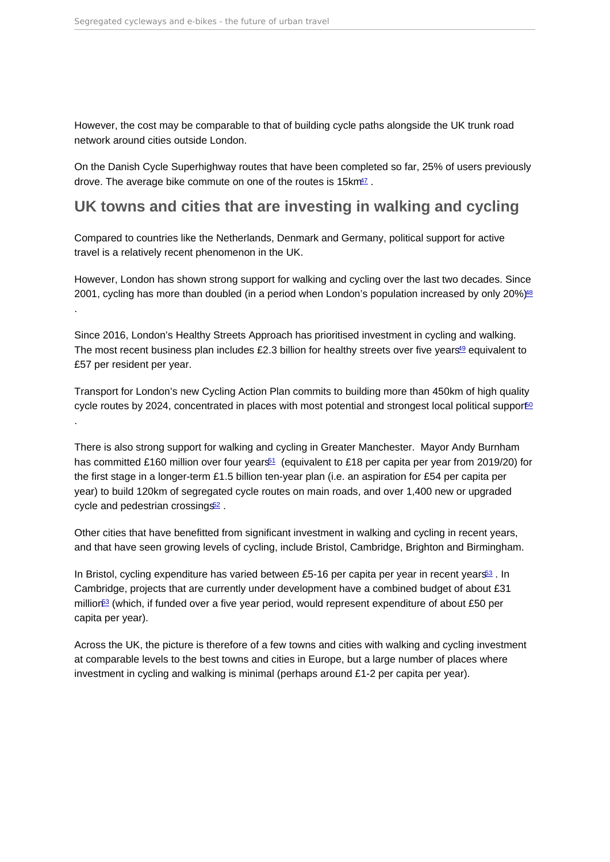<span id="page-9-0"></span>However, the cost may be comparable to that of building cycle paths alongside the UK trunk road network around cities outside London.

On the Danish Cycle Superhighway routes that have been completed so far, 25% of users previously drove. The average bike commute on one of the routes is 15km<sup>[47](#page-16-0)</sup>.

#### UK towns and cities that are investing in walking and cycling

Compared to countries like the Netherlands, Denmark and Germany, political support for active travel is a relatively recent phenomenon in the UK.

However, London has shown strong support for walking and cycling over the last two decades. Since 2001, cycling has more than doubled (in a period when London's population increased by only 20%)<sup>18</sup> .

Since 2016, London's Healthy Streets Approach has prioritised investment in cycling and walking. The most recent business plan includes £2.3 billion for healthy streets over five years $49$  equivalent to £57 per resident per year.

Transport for London's new Cycling Action Plan commits to building more than 450km of high quality cycle routes by 2024, concentrated in places with most potential and strongest local political support<sup>00</sup> .

There is also strong support for walking and cycling in Greater Manchester. Mayor Andy Burnham has committed £160 million over four years<sup>[51](#page-16-0)</sup> (equivalent to £18 per capita per year from 2019/20) for the first stage in a longer-term £1.5 billion ten-year plan (i.e. an aspiration for £54 per capita per year) to build 120km of segregated cycle routes on main roads, and over 1,400 new or upgraded cycle and pedestrian crossings<sup>[52](#page-16-0)</sup>.

Other cities that have benefitted from significant investment in walking and cycling in recent years, and that have seen growing levels of cycling, include Bristol, Cambridge, Brighton and Birmingham.

In Bristol, cycling expenditure has varied between £5-16 per capita per year in recent years<sup>[53](#page-16-0)</sup>. In Cambridge, projects that are currently under development have a combined budget of about £31 million[53](#page-16-0) (which, if funded over a five year period, would represent expenditure of about £50 per capita per year).

Across the UK, the picture is therefore of a few towns and cities with walking and cycling investment at comparable levels to the best towns and cities in Europe, but a large number of places where investment in cycling and walking is minimal (perhaps around £1-2 per capita per year).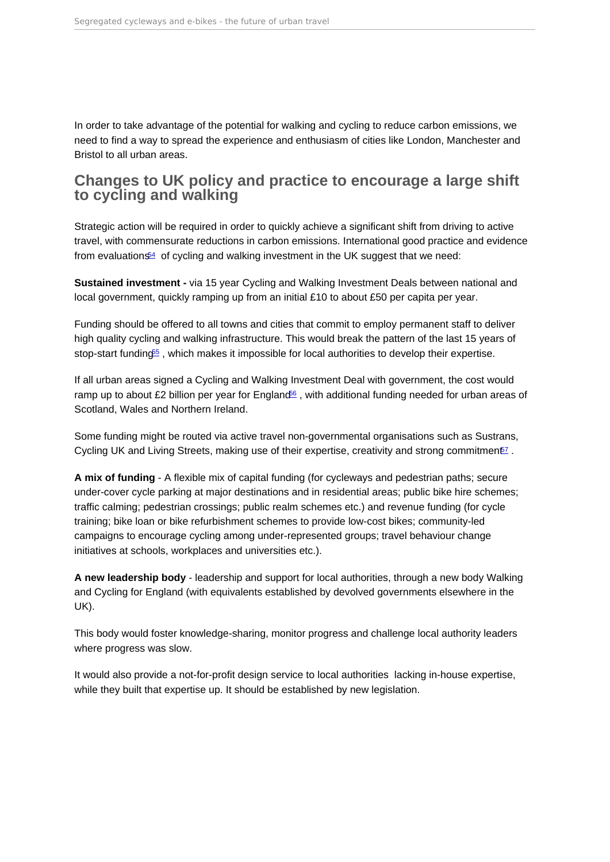<span id="page-10-0"></span>In order to take advantage of the potential for walking and cycling to reduce carbon emissions, we need to find a way to spread the experience and enthusiasm of cities like London, Manchester and Bristol to all urban areas.

### Changes to UK policy and practice to encourage a large shift to cycling and walking

Strategic action will be required in order to quickly achieve a significant shift from driving to active travel, with commensurate reductions in carbon emissions. International good practice and evidence from evaluations $64$  of cycling and walking investment in the UK suggest that we need:

Sustained investment - via 15 year Cycling and Walking Investment Deals between national and local government, quickly ramping up from an initial £10 to about £50 per capita per year.

Funding should be offered to all towns and cities that commit to employ permanent staff to deliver high quality cycling and walking infrastructure. This would break the pattern of the last 15 years of stop-start funding<sup>5</sup>, which makes it impossible for local authorities to develop their expertise.

If all urban areas signed a Cycling and Walking Investment Deal with government, the cost would ramp up to about £2 billion per year for England<sup>66</sup>, with additional funding needed for urban areas of Scotland, Wales and Northern Ireland.

Some funding might be routed via active travel non-governmental organisations such as Sustrans, Cycling UK and Living Streets, making use of their expertise, creativity and strong commitmenter  $\sim$ 

A mix of funding - A flexible mix of capital funding (for cycleways and pedestrian paths; secure under-cover cycle parking at major destinations and in residential areas; public bike hire schemes; traffic calming; pedestrian crossings; public realm schemes etc.) and revenue funding (for cycle training; bike loan or bike refurbishment schemes to provide low-cost bikes; community-led campaigns to encourage cycling among under-represented groups; travel behaviour change initiatives at schools, workplaces and universities etc.).

A new leadership body - leadership and support for local authorities, through a new body Walking and Cycling for England (with equivalents established by devolved governments elsewhere in the UK).

This body would foster knowledge-sharing, monitor progress and challenge local authority leaders where progress was slow.

It would also provide a not-for-profit design service to local authorities lacking in-house expertise, while they built that expertise up. It should be established by new legislation.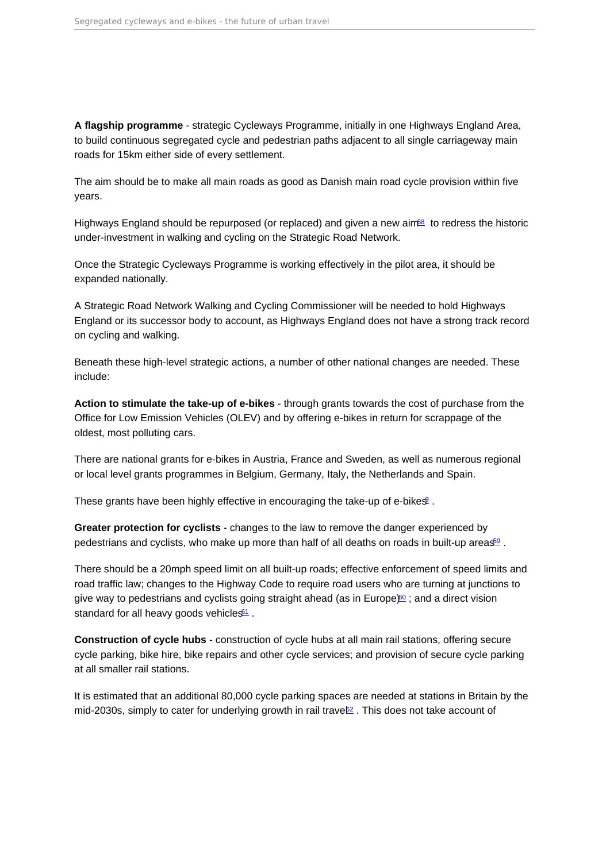<span id="page-11-0"></span>A flagship programme - strategic Cycleways Programme, initially in one Highways England Area, to build continuous segregated cycle and pedestrian paths adjacent to all single carriageway main roads for 15km either side of every settlement.

The aim should be to make all main roads as good as Danish main road cycle provision within five years.

Highways England should be repurposed (or replaced) and given a new aim<sup>[58](#page-17-0)</sup> to redress the historic under-investment in walking and cycling on the Strategic Road Network.

Once the Strategic Cycleways Programme is working effectively in the pilot area, it should be expanded nationally.

A Strategic Road Network Walking and Cycling Commissioner will be needed to hold Highways England or its successor body to account, as Highways England does not have a strong track record on cycling and walking.

Beneath these high-level strategic actions, a number of other national changes are needed. These include:

Action to stimulate the take-up of e-bikes - through grants towards the cost of purchase from the Office for Low Emission Vehicles (OLEV) and by offering e-bikes in return for scrappage of the oldest, most polluting cars.

There are national grants for e-bikes in Austria, France and Sweden, as well as numerous regional or local level grants programmes in Belgium, Germany, Italy, the Netherlands and Spain.

These grants have been highly effective in encouraging the take-up of e-bike $\mathcal{L}$ .

Greater protection for cyclists - changes to the law to remove the danger experienced by pedestrians and cyclists, who make up more than half of all deaths on roads in built-up areas<sup>9</sup>.

There should be a 20mph speed limit on all built-up roads; effective enforcement of speed limits and road traffic law; changes to the Highway Code to require road users who are turning at junctions to give way to pedestrians and cyclists going straight ahead (as in Europe)<sup>[60](#page-17-0)</sup> ; and a direct vision standard for all heavy goods vehicles<sup>[61](#page-17-0)</sup>.

Construction of cycle hubs - construction of cycle hubs at all main rail stations, offering secure cycle parking, bike hire, bike repairs and other cycle services; and provision of secure cycle parking at all smaller rail stations.

It is estimated that an additional 80,000 cycle parking spaces are needed at stations in Britain by the mid-2030s, simply to cater for underlying growth in rail trave $E^2$ . This does not take account of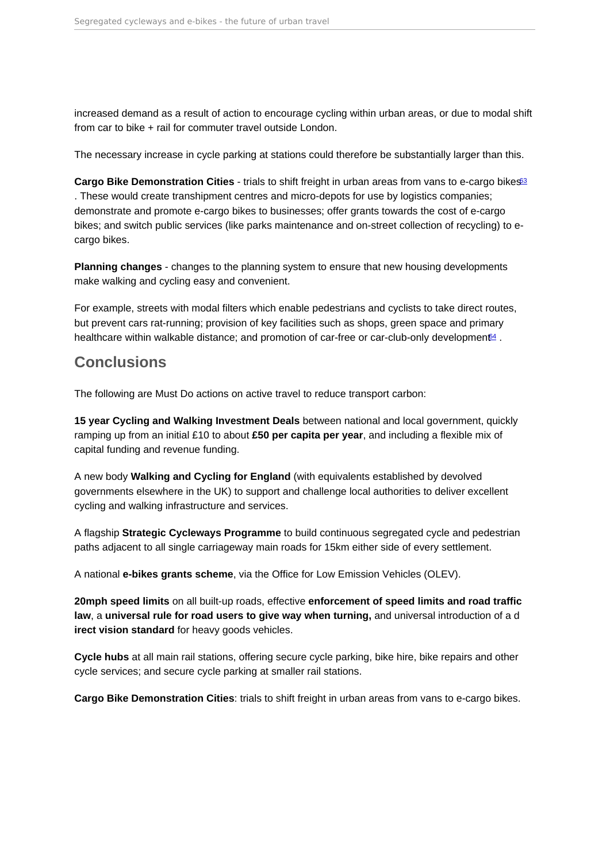<span id="page-12-0"></span>increased demand as a result of action to encourage cycling within urban areas, or due to modal shift from car to bike + rail for commuter travel outside London.

The necessary increase in cycle parking at stations could therefore be substantially larger than this.

Cargo Bike Demonstration Cities - trials to shift freight in urban areas from vans to e-cargo bikes<sup>[63](#page-17-0)</sup> . These would create transhipment centres and micro-depots for use by logistics companies; demonstrate and promote e-cargo bikes to businesses; offer grants towards the cost of e-cargo bikes; and switch public services (like parks maintenance and on-street collection of recycling) to ecargo bikes.

Planning changes - changes to the planning system to ensure that new housing developments make walking and cycling easy and convenient.

For example, streets with modal filters which enable pedestrians and cyclists to take direct routes, but prevent cars rat-running; provision of key facilities such as shops, green space and primary healthcare within walkable distance; and promotion of car-free or car-club-only development<sup>[64](#page-17-0)</sup>.

#### **Conclusions**

The following are Must Do actions on active travel to reduce transport carbon:

15 year Cycling and Walking Investment Deals between national and local government, quickly ramping up from an initial £10 to about £50 per capita per year , and including a flexible mix of capital funding and revenue funding.

A new body Walking and Cycling for England (with equivalents established by devolved governments elsewhere in the UK) to support and challenge local authorities to deliver excellent cycling and walking infrastructure and services.

A flagship Strategic Cycleways Programme to build continuous segregated cycle and pedestrian paths adjacent to all single carriageway main roads for 15km either side of every settlement.

A national e-bikes grants scheme , via the Office for Low Emission Vehicles (OLEV).

20mph speed limits on all built-up roads, effective enforcement of speed limits and road traffic law, a universal rule for road users to give way when turning, and universal introduction of a d irect vision standard for heavy goods vehicles.

Cycle hubs at all main rail stations, offering secure cycle parking, bike hire, bike repairs and other cycle services; and secure cycle parking at smaller rail stations.

Cargo Bike Demonstration Cities : trials to shift freight in urban areas from vans to e-cargo bikes.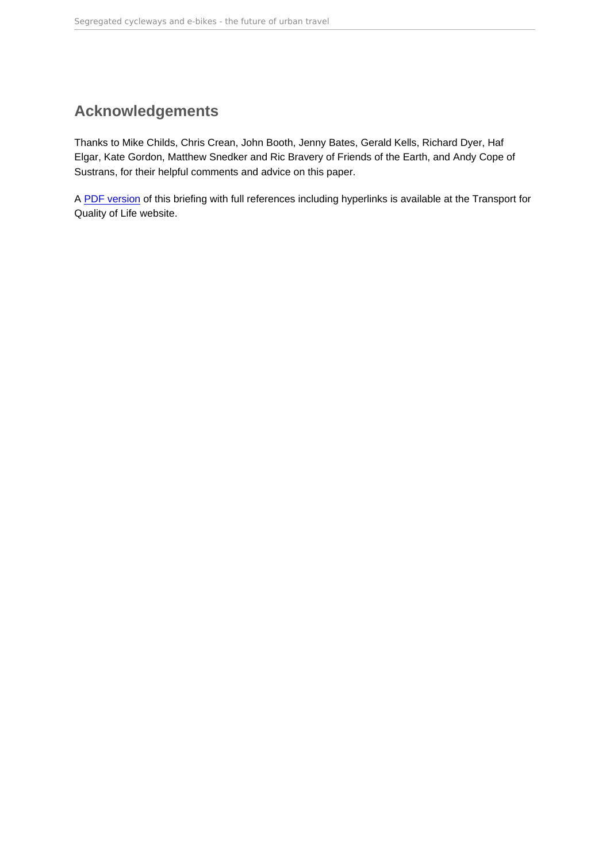## <span id="page-13-0"></span>Acknowledgements

Thanks to Mike Childs, Chris Crean, John Booth, Jenny Bates, Gerald Kells, Richard Dyer, Haf Elgar, Kate Gordon, Matthew Snedker and Ric Bravery of Friends of the Earth, and Andy Cope of Sustrans, for their helpful comments and advice on this paper.

A [PDF version](https://www.transportforqualityoflife.com/u/files/4 Segregated cycleways and e-bikes briefing.pdf) of this briefing with full references including hyperlinks is available at the Transport for Quality of Life website.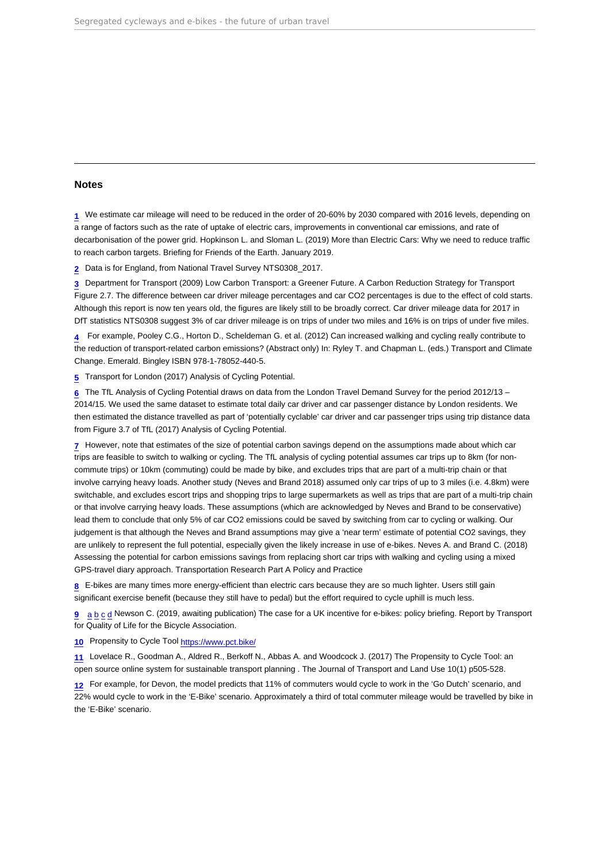#### <span id="page-14-0"></span>Notes

[1](#page-1-0) We estimate car mileage will need to be reduced in the order of 20-60% by 2030 compared with 2016 levels, depending on a range of factors such as the rate of uptake of electric cars, improvements in conventional car emissions, and rate of decarbonisation of the power grid. Hopkinson L. and Sloman L. (2019) More than Electric Cars: Why we need to reduce traffic to reach carbon targets. Briefing for Friends of the Earth. January 2019.

[2](#page-2-0) Data is for England, from National Travel Survey NTS0308\_2017.

[3](#page-2-0) Department for Transport (2009) Low Carbon Transport: a Greener Future. A Carbon Reduction Strategy for Transport Figure 2.7. The difference between car driver mileage percentages and car CO2 percentages is due to the effect of cold starts. Although this report is now ten years old, the figures are likely still to be broadly correct. Car driver mileage data for 2017 in DfT statistics NTS0308 suggest 3% of car driver mileage is on trips of under two miles and 16% is on trips of under five miles.

[4](#page-2-0) For example, Pooley C.G., Horton D., Scheldeman G. et al. (2012) Can increased walking and cycling really contribute to the reduction of transport-related carbon emissions? (Abstract only) In: Ryley T. and Chapman L. (eds.) Transport and Climate Change. Emerald. Bingley ISBN 978-1-78052-440-5.

[5](#page-2-0) Transport for London (2017) Analysis of Cycling Potential.

[6](#page-2-0) The TfL Analysis of Cycling Potential draws on data from the London Travel Demand Survey for the period 2012/13 – 2014/15. We used the same dataset to estimate total daily car driver and car passenger distance by London residents. We then estimated the distance travelled as part of 'potentially cyclable' car driver and car passenger trips using trip distance data from Figure 3.7 of TfL (2017) Analysis of Cycling Potential.

[7](#page-2-0) However, note that estimates of the size of potential carbon savings depend on the assumptions made about which car trips are feasible to switch to walking or cycling. The TfL analysis of cycling potential assumes car trips up to 8km (for noncommute trips) or 10km (commuting) could be made by bike, and excludes trips that are part of a multi-trip chain or that involve carrying heavy loads. Another study (Neves and Brand 2018) assumed only car trips of up to 3 miles (i.e. 4.8km) were switchable, and excludes escort trips and shopping trips to large supermarkets as well as trips that are part of a multi-trip chain or that involve carrying heavy loads. These assumptions (which are acknowledged by Neves and Brand to be conservative) lead them to conclude that only 5% of car CO2 emissions could be saved by switching from car to cycling or walking. Our judgement is that although the Neves and Brand assumptions may give a 'near term' estimate of potential CO2 savings, they are unlikely to represent the full potential, especially given the likely increase in use of e-bikes. Neves A. and Brand C. (2018) Assessing the potential for carbon emissions savings from replacing short car trips with walking and cycling using a mixed GPS-travel diary approach. Transportation Research Part A Policy and Practice

[8](#page-3-0) E-bikes are many times more energy-efficient than electric cars because they are so much lighter. Users still gain significant exercise benefit (because they still have to pedal) but the effort required to cycle uphill is much less.

[9](#page-3-0) [a](#page-3-0) [b](#page-3-0) [c](#page-3-0) [d](#page-11-0) Newson C. (2019, awaiting publication) The case for a UK incentive for e-bikes: policy briefing. Report by Transport for Quality of Life for the Bicycle Association.

[10](#page-3-0) Propensity to Cycle Tool<https://www.pct.bike/>

[11](#page-3-0) Lovelace R., Goodman A., Aldred R., Berkoff N., Abbas A. and Woodcock J. (2017) The Propensity to Cycle Tool: an open source online system for sustainable transport planning . The Journal of Transport and Land Use 10(1) p505-528.

[12](#page-3-0) For example, for Devon, the model predicts that 11% of commuters would cycle to work in the 'Go Dutch' scenario, and 22% would cycle to work in the 'E-Bike' scenario. Approximately a third of total commuter mileage would be travelled by bike in the 'E-Bike' scenario.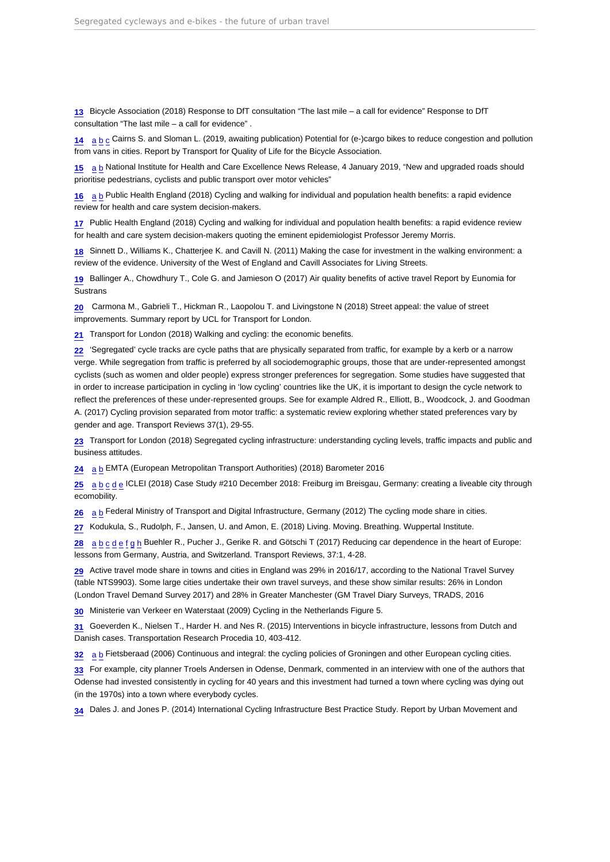<span id="page-15-0"></span>[13](#page-4-0) Bicycle Association (2018) Response to DfT consultation "The last mile – a call for evidence" Response to DfT consultation "The last mile – a call for evidence" .

[14](#page-4-0) [a](#page-4-0) [b](#page-4-0) [c](#page-5-0) Cairns S. and Sloman L. (2019, awaiting publication) Potential for (e-)cargo bikes to reduce congestion and pollution from vans in cities. Report by Transport for Quality of Life for the Bicycle Association.

[15](#page-5-0) [a](#page-5-0) [b](#page-5-0) National Institute for Health and Care Excellence News Release, 4 January 2019, "New and upgraded roads should prioritise pedestrians, cyclists and public transport over motor vehicles"

[16](#page-5-0) [a](#page-5-0) [b](#page-5-0) Public Health England (2018) Cycling and walking for individual and population health benefits: a rapid evidence review for health and care system decision-makers.

[17](#page-5-0) Public Health England (2018) Cycling and walking for individual and population health benefits: a rapid evidence review for health and care system decision-makers quoting the eminent epidemiologist Professor Jeremy Morris.

[18](#page-5-0) Sinnett D., Williams K., Chatterjee K. and Cavill N. (2011) Making the case for investment in the walking environment: a review of the evidence. University of the West of England and Cavill Associates for Living Streets.

[19](#page-5-0) Ballinger A., Chowdhury T., Cole G. and Jamieson O (2017) Air quality benefits of active travel Report by Eunomia for Sustrans

[20](#page-5-0) Carmona M., Gabrieli T., Hickman R., Laopolou T. and Livingstone N (2018) Street appeal: the value of street improvements. Summary report by UCL for Transport for London.

[21](#page-5-0) Transport for London (2018) Walking and cycling: the economic benefits.

[22](#page-5-0) 'Segregated' cycle tracks are cycle paths that are physically separated from traffic, for example by a kerb or a narrow verge. While segregation from traffic is preferred by all sociodemographic groups, those that are under-represented amongst cyclists (such as women and older people) express stronger preferences for segregation. Some studies have suggested that in order to increase participation in cycling in 'low cycling' countries like the UK, it is important to design the cycle network to reflect the preferences of these under-represented groups. See for example Aldred R., Elliott, B., Woodcock, J. and Goodman A. (2017) Cycling provision separated from motor traffic: a systematic review exploring whether stated preferences vary by gender and age. Transport Reviews 37(1), 29-55.

[23](#page-5-0) Transport for London (2018) Segregated cycling infrastructure: understanding cycling levels, traffic impacts and public and business attitudes.

[24](#page-6-0) [a](#page-6-0) [b](#page-6-0) EMTA (European Metropolitan Transport Authorities) (2018) Barometer 2016

[25](#page-6-0) [a](#page-6-0) [b](#page-6-0) [c](#page-6-0) [d](#page-6-0) [e](#page-7-0) ICLEI (2018) Case Study #210 December 2018: Freiburg im Breisgau, Germany: creating a liveable city through ecomobility.

[26](#page-6-0) [a](#page-6-0) [b](#page-6-0) Federal Ministry of Transport and Digital Infrastructure, Germany (2012) The cycling mode share in cities.

[27](#page-6-0) Kodukula, S., Rudolph, F., Jansen, U. and Amon, E. (2018) Living. Moving. Breathing. Wuppertal Institute.

[28](#page-6-0) [a](#page-6-0) [b](#page-6-0) [c](#page-6-0) [d](#page-6-0) [e](#page-6-0) [f](#page-6-0) [g](#page-7-0) [h](#page-7-0) Buehler R., Pucher J., Gerike R. and Götschi T (2017) Reducing car dependence in the heart of Europe: lessons from Germany, Austria, and Switzerland. Transport Reviews, 37:1, 4-28.

[29](#page-6-0) Active travel mode share in towns and cities in England was 29% in 2016/17, according to the National Travel Survey (table NTS9903). Some large cities undertake their own travel surveys, and these show similar results: 26% in London (London Travel Demand Survey 2017) and 28% in Greater Manchester (GM Travel Diary Surveys, TRADS, 2016

[30](#page-6-0) Ministerie van Verkeer en Waterstaat (2009) Cycling in the Netherlands Figure 5.

[31](#page-6-0) Goeverden K., Nielsen T., Harder H. and Nes R. (2015) Interventions in bicycle infrastructure, lessons from Dutch and Danish cases. Transportation Research Procedia 10, 403-412.

[32](#page-6-0) [a](#page-6-0) [b](#page-7-0) Fietsberaad (2006) Continuous and integral: the cycling policies of Groningen and other European cycling cities.

[33](#page-6-0) For example, city planner Troels Andersen in Odense, Denmark, commented in an interview with one of the authors that Odense had invested consistently in cycling for 40 years and this investment had turned a town where cycling was dying out (in the 1970s) into a town where everybody cycles.

[34](#page-6-0) Dales J. and Jones P. (2014) International Cycling Infrastructure Best Practice Study. Report by Urban Movement and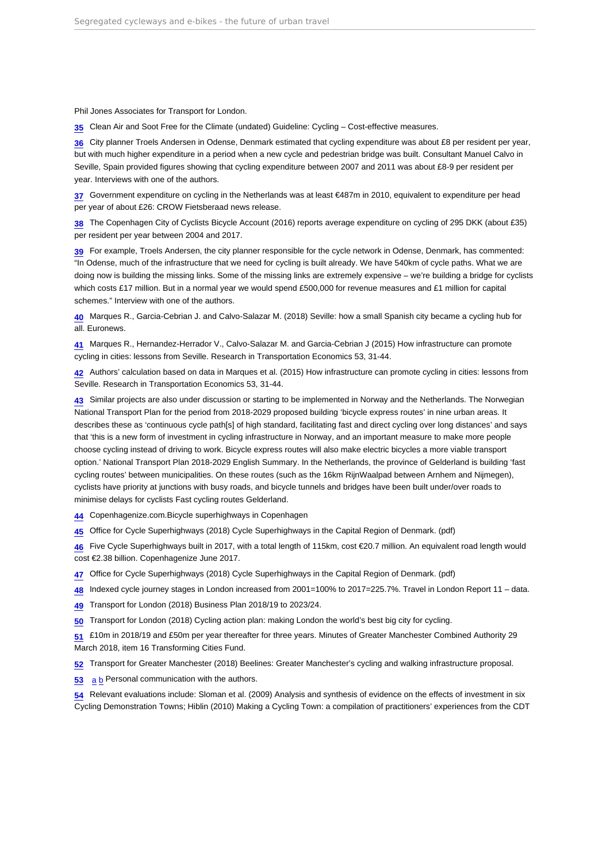<span id="page-16-0"></span>Phil Jones Associates for Transport for London.

[35](#page-6-0) Clean Air and Soot Free for the Climate (undated) Guideline: Cycling – Cost-effective measures.

[36](#page-6-0) City planner Troels Andersen in Odense, Denmark estimated that cycling expenditure was about £8 per resident per year, but with much higher expenditure in a period when a new cycle and pedestrian bridge was built. Consultant Manuel Calvo in Seville, Spain provided figures showing that cycling expenditure between 2007 and 2011 was about £8-9 per resident per year. Interviews with one of the authors.

[37](#page-6-0) Government expenditure on cycling in the Netherlands was at least €487m in 2010, equivalent to expenditure per head per year of about £26: CROW Fietsberaad news release.

[38](#page-6-0) The Copenhagen City of Cyclists Bicycle Account (2016) reports average expenditure on cycling of 295 DKK (about £35) per resident per year between 2004 and 2017.

[39](#page-6-0) For example, Troels Andersen, the city planner responsible for the cycle network in Odense, Denmark, has commented: "In Odense, much of the infrastructure that we need for cycling is built already. We have 540km of cycle paths. What we are doing now is building the missing links. Some of the missing links are extremely expensive – we're building a bridge for cyclists which costs £17 million. But in a normal year we would spend £500,000 for revenue measures and £1 million for capital schemes." Interview with one of the authors.

[40](#page-7-0) Marques R., Garcia-Cebrian J. and Calvo-Salazar M. (2018) Seville: how a small Spanish city became a cycling hub for all. Euronews.

[41](#page-7-0) Marques R., Hernandez-Herrador V., Calvo-Salazar M. and Garcia-Cebrian J (2015) How infrastructure can promote cycling in cities: lessons from Seville. Research in Transportation Economics 53, 31-44.

[42](#page-7-0) Authors' calculation based on data in Marques et al. (2015) How infrastructure can promote cycling in cities: lessons from Seville. Research in Transportation Economics 53, 31-44.

[43](#page-7-0) Similar projects are also under discussion or starting to be implemented in Norway and the Netherlands. The Norwegian National Transport Plan for the period from 2018-2029 proposed building 'bicycle express routes' in nine urban areas. It describes these as 'continuous cycle path[s] of high standard, facilitating fast and direct cycling over long distances' and says that 'this is a new form of investment in cycling infrastructure in Norway, and an important measure to make more people choose cycling instead of driving to work. Bicycle express routes will also make electric bicycles a more viable transport option.' National Transport Plan 2018-2029 English Summary. In the Netherlands, the province of Gelderland is building 'fast cycling routes' between municipalities. On these routes (such as the 16km RijnWaalpad between Arnhem and Nijmegen), cyclists have priority at junctions with busy roads, and bicycle tunnels and bridges have been built under/over roads to minimise delays for cyclists Fast cycling routes Gelderland.

[44](#page-7-0) Copenhagenize.com.Bicycle superhighways in Copenhagen

[45](#page-8-0) Office for Cycle Superhighways (2018) Cycle Superhighways in the Capital Region of Denmark. (pdf)

[46](#page-8-0) Five Cycle Superhighways built in 2017, with a total length of 115km, cost €20.7 million. An equivalent road length would cost €2.38 billion. Copenhagenize June 2017.

[47](#page-9-0) Office for Cycle Superhighways (2018) Cycle Superhighways in the Capital Region of Denmark. (pdf)

[48](#page-9-0) Indexed cycle journey stages in London increased from 2001=100% to 2017=225.7%. Travel in London Report 11 – data.

[49](#page-9-0) Transport for London (2018) Business Plan 2018/19 to 2023/24.

[50](#page-9-0) Transport for London (2018) Cycling action plan: making London the world's best big city for cycling.

[51](#page-9-0) £10m in 2018/19 and £50m per year thereafter for three years. Minutes of Greater Manchester Combined Authority 29 March 2018, item 16 Transforming Cities Fund.

[52](#page-9-0) Transport for Greater Manchester (2018) Beelines: Greater Manchester's cycling and walking infrastructure proposal.

[53](#page-9-0) [a](#page-9-0) [b](#page-9-0) Personal communication with the authors.

[54](#page-10-0) Relevant evaluations include: Sloman et al. (2009) Analysis and synthesis of evidence on the effects of investment in six Cycling Demonstration Towns; Hiblin (2010) Making a Cycling Town: a compilation of practitioners' experiences from the CDT